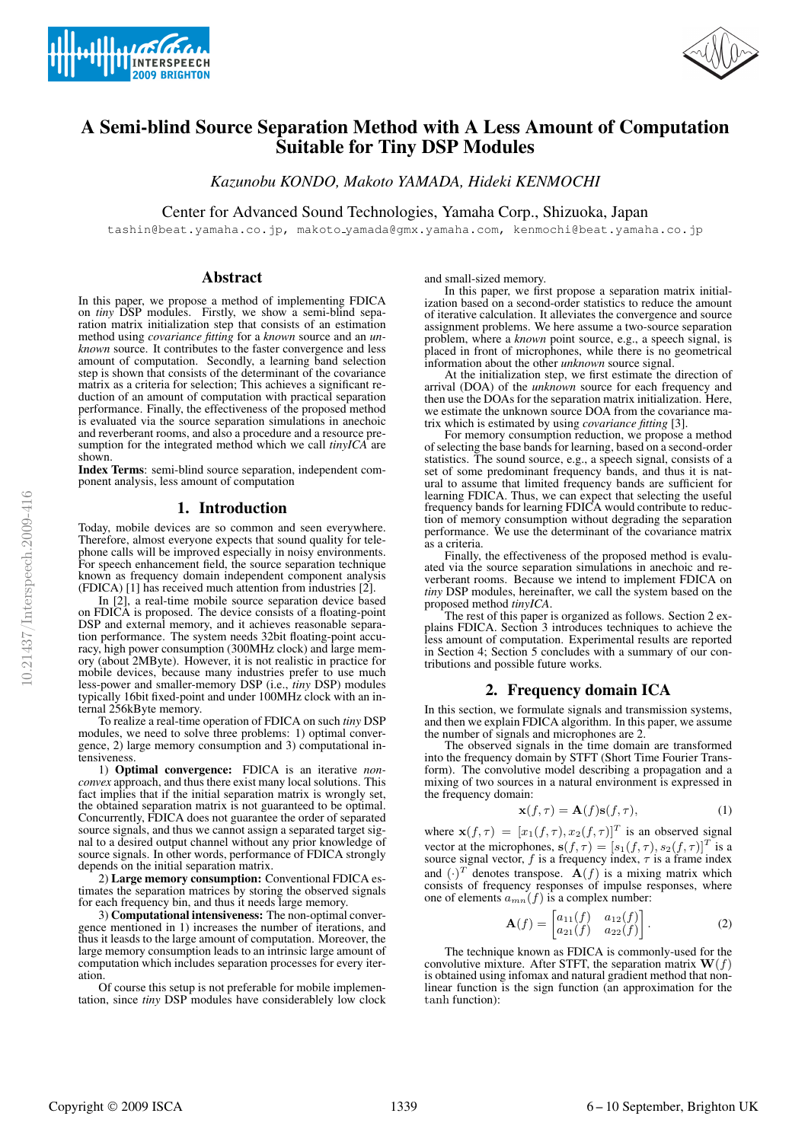



# A Semi-blind Source Separation Method with A Less Amount of Computation Suitable for Tiny DSP Modules

*Kazunobu KONDO, Makoto YAMADA, Hideki KENMOCHI*

Center for Advanced Sound Technologies, Yamaha Corp., Shizuoka, Japan

tashin@beat.yamaha.co.jp, makoto yamada@gmx.yamaha.com, kenmochi@beat.yamaha.co.jp

# Abstract

In this paper, we propose a method of implementing FDICA on *tiny* DSP modules. Firstly, we show a semi-blind separation matrix initialization step that consists of an estimation method using *covariance fitting* for a *known* source and an *un- known* source. It contributes to the faster convergence and less amount of computation. Secondly, a learning band selection step is shown that consists of the determinant of the covariance matrix as a criteria for selection; This achieves a significant reduction of an amount of computation with practical separation performance. Finally, the effectiveness of the proposed method is evaluated via the source separation simulations in anechoic and reverberant rooms, and also a procedure and a resource presumption for the integrated method which we call *tinyICA* are shown.

Index Terms: semi-blind source separation, independent component analysis, less amount of computation

#### 1. Introduction

Today, mobile devices are so common and seen everywhere. Therefore, almost everyone expects that sound quality for telephone calls will be improved especially in noisy environments. For speech enhancement field, the source separation technique known as frequency domain independent component analysis (FDICA) [1] has received much attention from industries [2].

In [2], a real-time mobile source separation device based on FDICA is proposed. The device consists of a floating-point DSP and external memory, and it achieves reasonable separation performance. The system needs 32bit floating-point accuracy, high power consumption (300MHz clock) and large memory (about 2MByte). However, it is not realistic in practice for mobile devices, because many industries prefer to use much less-power and smaller-memory DSP (i.e., *tiny* DSP) modules typically 16bit fixed-point and under 100MHz clock with an internal 256kByte memory.

To realize a real-time operation of FDICA on such *tiny* DSP modules, we need to solve three problems: 1) optimal convergence, 2) large memory consumption and 3) computational intensiveness.

1) Optimal convergence: FDICA is an iterative *non- convex* approach, and thus there exist many local solutions. This fact implies that if the initial separation matrix is wrongly set, the obtained separation matrix is not guaranteed to be optimal. Concurrently, FDICA does not guarantee the order of separated source signals, and thus we cannot assign a separated target signal to a desired output channel without any prior knowledge of source signals. In other words, performance of FDICA strongly depends on the initial separation matrix.

2) Large memory consumption: Conventional FDICA estimates the separation matrices by storing the observed signals for each frequency bin, and thus it needs large memory.

3) Computational intensiveness: The non-optimal convergence mentioned in 1) increases the number of iterations, and thus it leasds to the large amount of computation. Moreover, the large memory consumption leads to an intrinsic large amount of computation which includes separation processes for every iteration.

Of course this setup is not preferable for mobile implementation, since *tiny* DSP modules have considerablely low clock and small-sized memory.

In this paper, we first propose a separation matrix initialization based on a second-order statistics to reduce the amount of iterative calculation. It alleviates the convergence and source assignment problems. We here assume a two-source separation problem, where a *known* point source, e.g., a speech signal, is placed in front of microphones, while there is no geometrical information about the other *unknown* source signal.

At the initialization step, we first estimate the direction of arrival (DOA) of the *unknown* source for each frequency and then use the DOAs for the separation matrix initialization. Here, we estimate the unknown source DOA from the covariance matrix which is estimated by using *covariance fitting* [3].

For memory consumption reduction, we propose a method of selecting the base bands for learning, based on a second-order statistics. The sound source, e.g., a speech signal, consists of a set of some predominant frequency bands, and thus it is natural to assume that limited frequency bands are sufficient for learning FDICA. Thus, we can expect that selecting the useful frequency bands for learning FDICA would contribute to reduction of memory consumption without degrading the separation performance. We use the determinant of the covariance matrix as a criteria.

Finally, the effectiveness of the proposed method is evaluated via the source separation simulations in anechoic and reverberant rooms. Because we intend to implement FDICA on *tiny* DSP modules, hereinafter, we call the system based on the proposed method *tinyICA*.

The rest of this paper is organized as follows. Section 2 explains FDICA. Section 3 introduces techniques to achieve the less amount of computation. Experimental results are reported in Section 4; Section 5 concludes with a summary of our contributions and possible future works.

# 2. Frequency domain ICA

In this section, we formulate signals and transmission systems, and then we explain FDICA algorithm. In this paper, we assume the number of signals and microphones are 2.

The observed signals in the time domain are transformed into the frequency domain by STFT (Short Time Fourier Transform). The convolutive model describing a propagation and a mixing of two sources in a natural environment is expressed in the frequency domain:

$$
\mathbf{x}(f,\tau) = \mathbf{A}(f)\mathbf{s}(f,\tau),\tag{1}
$$

where  $\mathbf{x}(f,\tau)=[x_1(f,\tau), x_2(f,\tau)]^T$  is an observed signal vector at the microphones,  $\mathbf{s}(f, \tau)=[s_1(f, \tau), s_2(f, \tau)]^T$  is a source signal vector, f is a frequency index,  $\tau$  is a frame index and  $(\cdot)^T$  denotes transpose.  $\mathbf{A}(f)$  is a mixing matrix which consists of frequency responses of impulse responses, where one of elements  $a_{mn}(f)$  is a complex number:

$$
\mathbf{A}(f) = \begin{bmatrix} a_{11}(f) & a_{12}(f) \\ a_{21}(f) & a_{22}(f) \end{bmatrix} . \tag{2}
$$

The technique known as FDICA is commonly-used for the convolutive mixture. After STFT, the separation matrix  $\mathbf{W}(f)$ is obtained using infomax and natural gradient method that nonlinear function is the sign function (an approximation for the tanh function):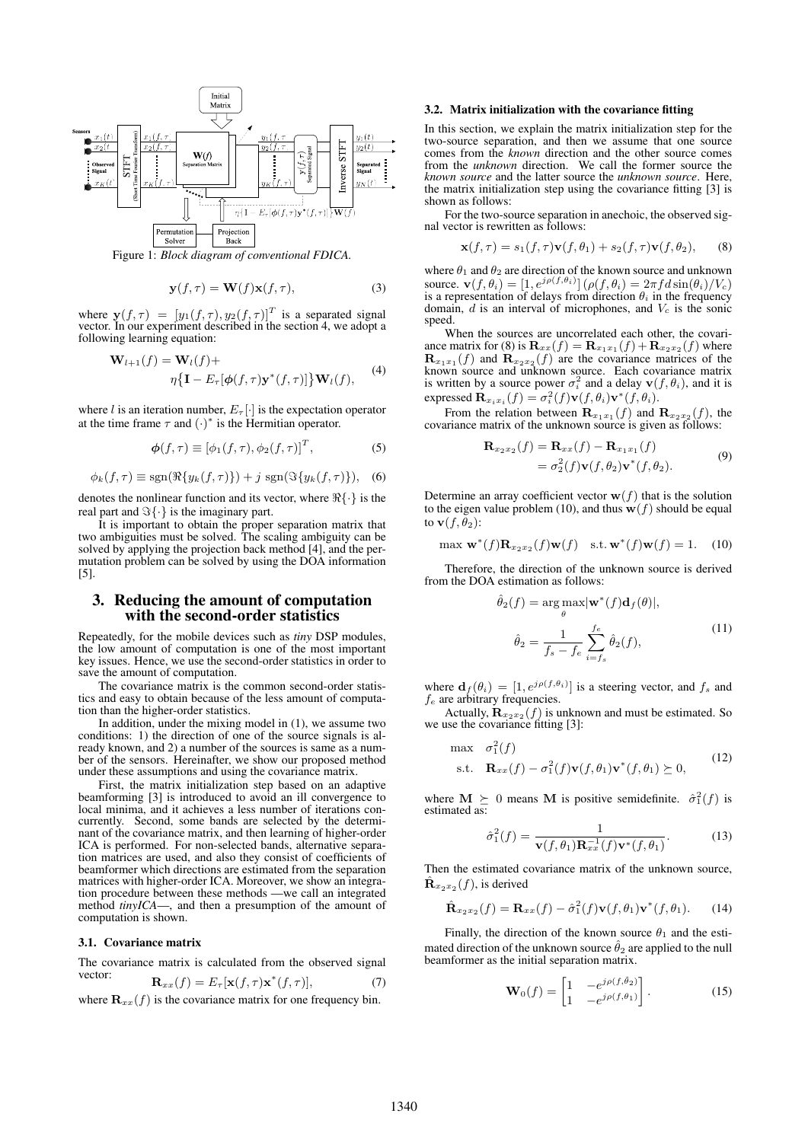

Figure 1: *Block diagram of conventional FDICA.*

$$
\mathbf{y}(f,\tau) = \mathbf{W}(f)\mathbf{x}(f,\tau),\tag{3}
$$

where  $\mathbf{y}(f,\tau)=[y_1(f,\tau), y_2(f,\tau)]^T$  is a separated signal vector. In our experiment described in the section 4, we adopt a following learning equation:

$$
\mathbf{W}_{l+1}(f) = \mathbf{W}_l(f) + \eta \{ \mathbf{I} - E_{\tau}[\phi(f, \tau) \mathbf{y}^*(f, \tau)] \} \mathbf{W}_l(f), \tag{4}
$$

where l is an iteration number,  $E_{\tau}[\cdot]$  is the expectation operator at the time frame  $\tau$  and  $(\cdot)^*$  is the Hermitian operator.

$$
\boldsymbol{\phi}(f,\tau) \equiv \left[\phi_1(f,\tau), \phi_2(f,\tau)\right]^T, \tag{5}
$$

$$
\phi_k(f,\tau) \equiv \text{sgn}(\Re\{y_k(f,\tau)\}) + j \text{ sgn}(\Im\{y_k(f,\tau)\}), \quad (6)
$$

denotes the nonlinear function and its vector, where  $\Re\{\cdot\}$  is the real part and  $\Im{\{\cdot\}}$  is the imaginary part.

It is important to obtain the proper separation matrix that two ambiguities must be solved. The scaling ambiguity can be solved by applying the projection back method [4], and the permutation problem can be solved by using the DOA information [5].

# 3. Reducing the amount of computation with the second-order statistics

Repeatedly, for the mobile devices such as *tiny* DSP modules, the low amount of computation is one of the most important key issues. Hence, we use the second-order statistics in order to save the amount of computation.

The covariance matrix is the common second-order statistics and easy to obtain because of the less amount of computation than the higher-order statistics.

In addition, under the mixing model in (1), we assume two conditions: 1) the direction of one of the source signals is already known, and 2) a number of the sources is same as a number of the sensors. Hereinafter, we show our proposed method under these assumptions and using the covariance matrix.

First, the matrix initialization step based on an adaptive beamforming [3] is introduced to avoid an ill convergence to local minima, and it achieves a less number of iterations concurrently. Second, some bands are selected by the determinant of the covariance matrix, and then learning of higher-order ICA is performed. For non-selected bands, alternative separation matrices are used, and also they consist of coefficients of beamformer which directions are estimated from the separation matrices with higher-order ICA. Moreover, we show an integration procedure between these methods —we call an integrated method *tinyICA*—, and then a presumption of the amount of computation is shown.

#### 3.1. Covariance matrix

The covariance matrix is calculated from the observed signal vector:  $\mathbf{r}$   $\mathbf{r}$ ,  $\mathbf{r}$ ,  $\mathbf{r}$ ,  $\mathbf{r}$ ,  $\mathbf{r}$ ,  $\mathbf{r}$ ,  $\mathbf{r}$ ,  $\mathbf{r}$ ,  $\mathbf{r}$ ,  $\mathbf{r}$ ,  $\mathbf{r}$ ,  $\mathbf{r}$ ,  $\mathbf{r}$ ,  $\mathbf{r}$ ,  $\mathbf{r}$ ,  $\mathbf{r}$ ,  $\mathbf{r}$ ,  $\mathbf{r}$ ,  $\mathbf{r}$ ,  $\mathbf{r}$ ,  $\mathbf$ 

$$
\mathbf{R}_{xx}(f) = E_{\tau}[\mathbf{x}(f,\tau)\mathbf{x}^{\top}(f,\tau)],\tag{1}
$$

where  $\mathbf{R}_{xx}(f)$  is the covariance matrix for one frequency bin.

#### 3.2. Matrix initialization with the covariance fitting

In this section, we explain the matrix initialization step for the two-source separation, and then we assume that one source comes from the *known* direction and the other source comes from the *unknown* direction. We call the former source the *known source* and the latter source the *unknown source*. Here, the matrix initialization step using the covariance fitting [3] is shown as follows:

For the two-source separation in anechoic, the observed signal vector is rewritten as follows:

$$
\mathbf{x}(f,\tau) = s_1(f,\tau)\mathbf{v}(f,\theta_1) + s_2(f,\tau)\mathbf{v}(f,\theta_2), \qquad (8)
$$

where  $\theta_1$  and  $\theta_2$  are direction of the known source and unknown source.  $\mathbf{v}(f, \theta_i) = [1, e^{j \rho(f, \theta_i)}] (\rho(f, \theta_i)) = 2\pi f d \sin(\theta_i) / V_c)$ is a representation of delays from direction  $\theta_i$  in the frequency domain,  $d$  is an interval of microphones, and  $V_c$  is the sonic speed.

When the sources are uncorrelated each other, the covariance matrix for (8) is  $\mathbf{R}_{xx}(f) = \mathbf{R}_{x_1x_1}(f) + \mathbf{R}_{x_2x_2}(f)$  where  $\mathbf{R}_{x_1x_1}(f)$  and  $\mathbf{R}_{x_2x_2}(f)$  are the covariance matrices of the known source and unknown source. Each covariance matrix is written by a source power  $\sigma_i^2$  and a delay  $\mathbf{v}(f, \theta_i)$ , and it is expressed  $\mathbf{R}_{x_ix_i}(f) = \sigma_i^2(f)\mathbf{v}(f,\theta_i)\mathbf{v}^*(f,\theta_i).$ 

From the relation between  $\mathbf{R}_{x_1x_1}(f)$  and  $\mathbf{R}_{x_2x_2}(f)$ , the covariance matrix of the unknown source is given as follows:

$$
\mathbf{R}_{x_2x_2}(f) = \mathbf{R}_{xx}(f) - \mathbf{R}_{x_1x_1}(f)
$$
  
=  $\sigma_2^2(f)\mathbf{v}(f,\theta_2)\mathbf{v}^*(f,\theta_2).$  (9)

Determine an array coefficient vector  $w(f)$  that is the solution to the eigen value problem (10), and thus  $w(f)$  should be equal to  $\mathbf{v}(f,\theta_2)$ :

$$
\max \mathbf{w}^*(f) \mathbf{R}_{x_2 x_2}(f) \mathbf{w}(f) \quad \text{s.t.} \mathbf{w}^*(f) \mathbf{w}(f) = 1. \quad (10)
$$

Therefore, the direction of the unknown source is derived from the DOA estimation as follows:

$$
\hat{\theta}_2(f) = \arg \max_{\theta} |\mathbf{w}^*(f) \mathbf{d}_f(\theta)|,
$$

$$
\hat{\theta}_2 = \frac{1}{f_s - f_e} \sum_{i=f_s}^{f_e} \hat{\theta}_2(f),
$$
(11)

where  $\mathbf{d}_f(\theta_i) = [1, e^{j \rho(f, \theta_i)}]$  is a steering vector, and  $f_s$  and  $f_e$  are arbitrary frequencies.

Actually,  $\mathbf{R}_{x_2x_2}(f)$  is unknown and must be estimated. So we use the covariance fitting [3]:

$$
\begin{array}{ll}\n\max & \sigma_1^2(f) \\
\text{s.t.} & \mathbf{R}_{xx}(f) - \sigma_1^2(f)\mathbf{v}(f,\theta_1)\mathbf{v}^*(f,\theta_1) \succeq 0,\n\end{array} \tag{12}
$$

where  $\mathbf{M} \succeq 0$  means M is positive semidefinite.  $\hat{\sigma}_1^2(f)$  is estimated as:

$$
\hat{\sigma}_1^2(f) = \frac{1}{\mathbf{v}(f,\theta_1)\mathbf{R}_{xx}^{-1}(f)\mathbf{v}^*(f,\theta_1)}.
$$
 (13)

Then the estimated covariance matrix of the unknown source,  $\hat{\mathbf{R}}_{x_2x_2}(f)$ , is derived

$$
\hat{\mathbf{R}}_{x_2x_2}(f) = \mathbf{R}_{xx}(f) - \hat{\sigma}_1^2(f)\mathbf{v}(f,\theta_1)\mathbf{v}^*(f,\theta_1). \tag{14}
$$

Finally, the direction of the known source  $\theta_1$  and the estimated direction of the unknown source  $\hat{\theta}_2$  are applied to the null beamformer as the initial separation matrix.

$$
\mathbf{W}_0(f) = \begin{bmatrix} 1 & -e^{j\rho(f,\hat{\theta}_2)} \\ 1 & -e^{j\rho(f,\theta_1)} \end{bmatrix}.
$$
 (15)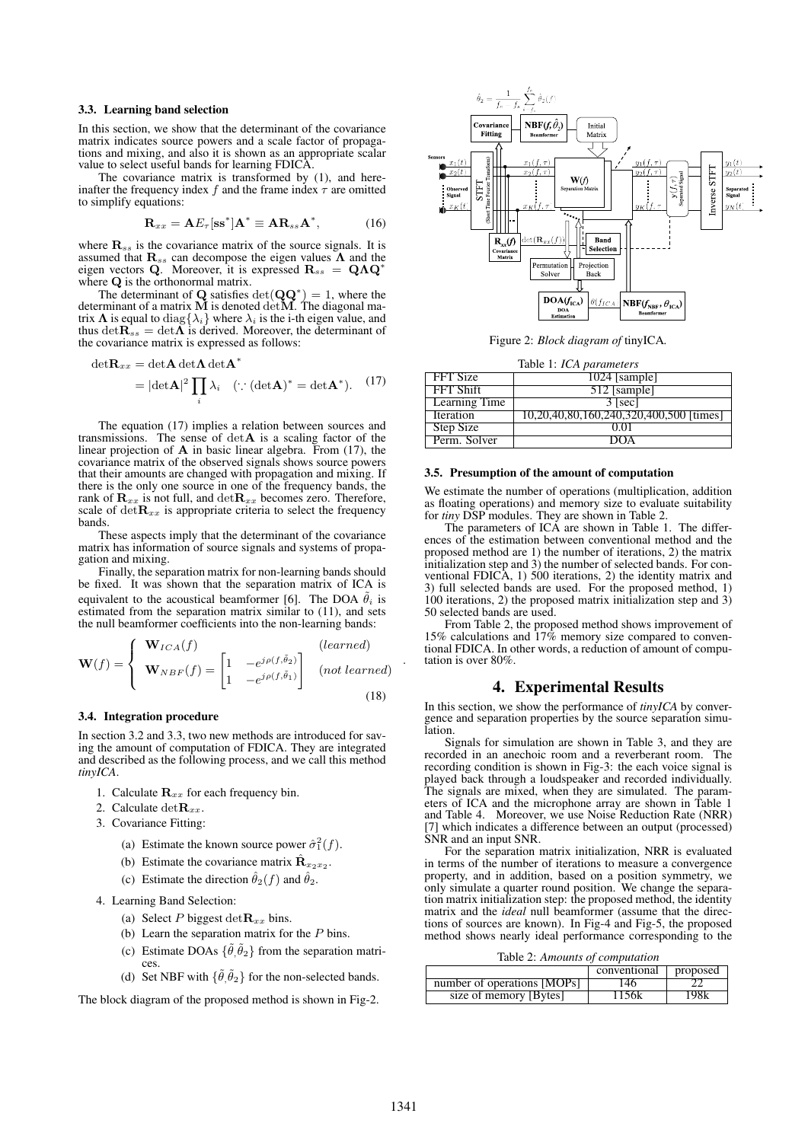#### 3.3. Learning band selection

In this section, we show that the determinant of the covariance matrix indicates source powers and a scale factor of propagations and mixing, and also it is shown as an appropriate scalar value to select useful bands for learning FDICA.

The covariance matrix is transformed by (1), and hereinafter the frequency index f and the frame index  $\tau$  are omitted to simplify equations:

$$
\mathbf{R}_{xx} = \mathbf{A} E_{\tau} [\mathbf{s} \mathbf{s}^*] \mathbf{A}^* \equiv \mathbf{A} \mathbf{R}_{ss} \mathbf{A}^*, \tag{16}
$$

where  $\mathbf{R}_{ss}$  is the covariance matrix of the source signals. It is assumed that  $\mathbf{R}_{ss}$  can decompose the eigen values  $\Lambda$  and the eigen vectors Q. Moreover, it is expressed  $\mathbf{R}_{ss} = \mathbf{Q}\Lambda \mathbf{Q}^*$ where  $Q$  is the orthonormal matrix.

The determinant of Q satisfies  $det(\mathbf{Q}\mathbf{Q}^*)=1$ , where the determinant of a matrix  $M$  is denoted  $det M$ . The diagonal matrix  $\Lambda$  is equal to diag $\{\lambda_i\}$  where  $\lambda_i$  is the i-th eigen value, and thus det $\hat{\mathbf{R}_{ss}} = \det \tilde{\mathbf{\Lambda}}$  is derived. Moreover, the determinant of the covariance matrix is expressed as follows:

$$
\det \mathbf{R}_{xx} = \det \mathbf{A} \det \mathbf{\Lambda} \det \mathbf{A}^*
$$

$$
= |\det \mathbf{A}|^2 \prod_i \lambda_i \quad (\because (\det \mathbf{A})^* = \det \mathbf{A}^*). \tag{17}
$$

The equation (17) implies a relation between sources and transmissions. The sense of detA is a scaling factor of the linear projection of  $A$  in basic linear algebra. From (17), the covariance matrix of the observed signals shows source powers that their amounts are changed with propagation and mixing. If there is the only one source in one of the frequency bands, the rank of  $\mathbf{R}_{xx}$  is not full, and  $\text{det} \mathbf{R}_{xx}$  becomes zero. Therefore, scale of  $\text{det} \mathbf{R}_{xx}$  is appropriate criteria to select the frequency bands.

These aspects imply that the determinant of the covariance matrix has information of source signals and systems of propagation and mixing.

Finally, the separation matrix for non-learning bands should be fixed. It was shown that the separation matrix of ICA is equivalent to the acoustical beamformer [6]. The DOA  $\tilde{\theta}_i$  is estimated from the separation matrix similar to (11), and sets the null beamformer coefficients into the non-learning bands:

$$
\mathbf{W}(f) = \begin{cases} \mathbf{W}_{ICA}(f) & (learned) \\ \mathbf{W}_{NBF}(f) = \begin{bmatrix} 1 & -e^{j\rho(f,\tilde{\theta}_2)} \\ 1 & -e^{j\rho(f,\tilde{\theta}_1)} \end{bmatrix} & (not learned) \\ (18) \end{cases}
$$

#### 3.4. Integration procedure

In section 3.2 and 3.3, two new methods are introduced for saving the amount of computation of FDICA. They are integrated and described as the following process, and we call this method *tinyICA*.

- 1. Calculate  $\mathbf{R}_{xx}$  for each frequency bin.
- 2. Calculate det $\mathbf{R}_{xx}$ .
- 3. Covariance Fitting:
	- (a) Estimate the known source power  $\hat{\sigma}_1^2(f)$ .
	- (b) Estimate the covariance matrix  $\hat{\mathbf{R}}_{x_2x_2}$ .
	- (c) Estimate the direction  $\hat{\theta}_2(f)$  and  $\hat{\theta}_2$ .
- 4. Learning Band Selection:
	- (a) Select P biggest det $\mathbf{R}_{xx}$  bins.
	- (b) Learn the separation matrix for the  $P$  bins.
	- (c) Estimate DOAs  $\{\tilde{\theta}, \tilde{\theta}_2\}$  from the separation matri-
	- (d) Set NBF with  $\{\tilde{\theta}, \tilde{\theta}_2\}$  for the non-selected bands.

The block diagram of the proposed method is shown in Fig-2.



Figure 2: *Block diagram of* tinyICA*.*

|  |  |  | Table 1: ICA parameters |
|--|--|--|-------------------------|
|--|--|--|-------------------------|

| FFT Size         | $1024$ [sample]                         |
|------------------|-----------------------------------------|
| FFT Shift        | 512 [sample]                            |
| Learning Time    | $3$ [sec]                               |
| <b>Iteration</b> | 10,20,40,80,160,240,320,400,500 [times] |
| Step Size        | O 01                                    |
| Perm. Solver     | DOA                                     |

#### 3.5. Presumption of the amount of computation

We estimate the number of operations (multiplication, addition as floating operations) and memory size to evaluate suitability for *tiny* DSP modules. They are shown in Table 2.

The parameters of ICA are shown in Table 1. The differences of the estimation between conventional method and the proposed method are 1) the number of iterations, 2) the matrix initialization step and 3) the number of selected bands. For conventional FDICA, 1) 500 iterations, 2) the identity matrix and 3) full selected bands are used. For the proposed method, 1) 100 iterations, 2) the proposed matrix initialization step and 3) 50 selected bands are used.

From Table 2, the proposed method shows improvement of 15% calculations and 17% memory size compared to conventional FDICA. In other words, a reduction of amount of computation is over 80%.

#### 4. Experimental Results

In this section, we show the performance of *tinyICA* by convergence and separation properties by the source separation simulation.

Signals for simulation are shown in Table 3, and they are recorded in an anechoic room and a reverberant room. The recording condition is shown in Fig-3: the each voice signal is played back through a loudspeaker and recorded individually. The signals are mixed, when they are simulated. The parameters of ICA and the microphone array are shown in Table 1 and Table 4. Moreover, we use Noise Reduction Rate (NRR) [7] which indicates a difference between an output (processed) SNR and an input SNR.

For the separation matrix initialization, NRR is evaluated in terms of the number of iterations to measure a convergence property, and in addition, based on a position symmetry, we only simulate a quarter round position. We change the separation matrix initialization step: the proposed method, the identity matrix and the *ideal* null beamformer (assume that the directions of sources are known). In Fig-4 and Fig-5, the proposed method shows nearly ideal performance corresponding to the

Table 2: *Amounts of computation*

|                             | conventional | proposed |
|-----------------------------|--------------|----------|
| number of operations [MOPs] | 146          |          |
| size of memory [Bytes]      | 156k         | '98k     |